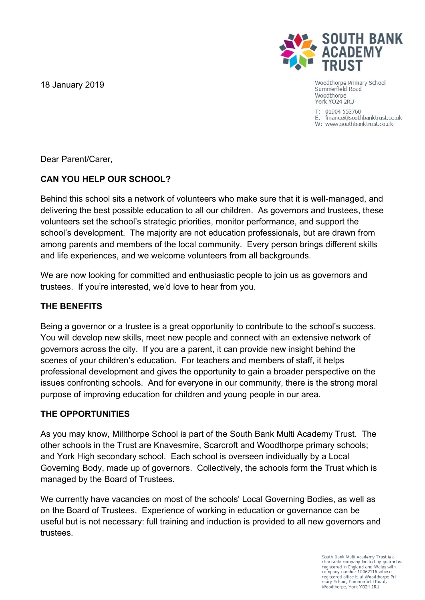18 January 2019



Woodthorpe Primary School Summerfield Road Woodthorpe York YO24 2RU

 $T: 01904553760$ E: finance@southbanktrust.co.uk W: www.southbanktrust.co.uk

Dear Parent/Carer,

# **CAN YOU HELP OUR SCHOOL?**

Behind this school sits a network of volunteers who make sure that it is well-managed, and delivering the best possible education to all our children. As governors and trustees, these volunteers set the school's strategic priorities, monitor performance, and support the school's development. The majority are not education professionals, but are drawn from among parents and members of the local community. Every person brings different skills and life experiences, and we welcome volunteers from all backgrounds.

We are now looking for committed and enthusiastic people to join us as governors and trustees. If you're interested, we'd love to hear from you.

## **THE BENEFITS**

Being a governor or a trustee is a great opportunity to contribute to the school's success. You will develop new skills, meet new people and connect with an extensive network of governors across the city. If you are a parent, it can provide new insight behind the scenes of your children's education. For teachers and members of staff, it helps professional development and gives the opportunity to gain a broader perspective on the issues confronting schools. And for everyone in our community, there is the strong moral purpose of improving education for children and young people in our area.

### **THE OPPORTUNITIES**

As you may know, Millthorpe School is part of the South Bank Multi Academy Trust. The other schools in the Trust are Knavesmire, Scarcroft and Woodthorpe primary schools; and York High secondary school. Each school is overseen individually by a Local Governing Body, made up of governors. Collectively, the schools form the Trust which is managed by the Board of Trustees.

We currently have vacancies on most of the schools' Local Governing Bodies, as well as on the Board of Trustees. Experience of working in education or governance can be useful but is not necessary: full training and induction is provided to all new governors and trustees.

> South Bank Multi Academy Trust is a charitable company limited by guarantee<br>registered in England and Wales with company number 10067116 whose<br>registered office is at Woodthorpe Primary School, Summerfield Road,<br>Woodthorpe, York YO24 2RU